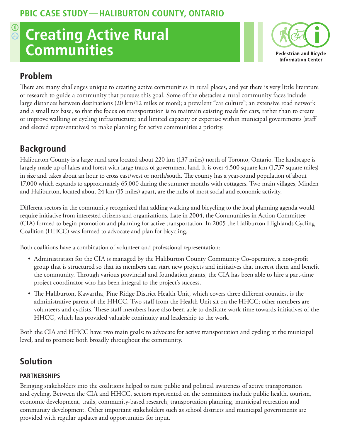## **Creating Active Rural**   $\sum_{i=1}^{\infty}$ **Communities**



## **Problem**

There are many challenges unique to creating active communities in rural places, and yet there is very little literature or research to guide a community that pursues this goal. Some of the obstacles a rural community faces include large distances between destinations (20 km/12 miles or more); a prevalent "car culture"; an extensive road network and a small tax base, so that the focus on transportation is to maintain existing roads for cars, rather than to create or improve walking or cycling infrastructure; and limited capacity or expertise within municipal governments (staff and elected representatives) to make planning for active communities a priority.

# **Background**

Haliburton County is a large rural area located about 220 km (137 miles) north of Toronto, Ontario. The landscape is largely made up of lakes and forest with large tracts of government land. It is over 4,500 square km (1,737 square miles) in size and takes about an hour to cross east/west or north/south. The county has a year-round population of about 17,000 which expands to approximately 65,000 during the summer months with cottagers. Two main villages, Minden and Haliburton, located about 24 km (15 miles) apart, are the hubs of most social and economic activity.

Different sectors in the community recognized that adding walking and bicycling to the local planning agenda would require initiative from interested citizens and organizations. Late in 2004, the Communities in Action Committee (CIA) formed to begin promotion and planning for active transportation. In 2005 the Haliburton Highlands Cycling Coalition (HHCC) was formed to advocate and plan for bicycling.

Both coalitions have a combination of volunteer and professional representation:

- Administration for the CIA is managed by the Haliburton County Community Co-operative, a non-profit group that is structured so that its members can start new projects and initiatives that interest them and benefit the community. Through various provincial and foundation grants, the CIA has been able to hire a part-time project coordinator who has been integral to the project's success.
- The Haliburton, Kawartha, Pine Ridge District Health Unit, which covers three different counties, is the administrative parent of the HHCC. Two staff from the Health Unit sit on the HHCC; other members are volunteers and cyclists. These staff members have also been able to dedicate work time towards initiatives of the HHCC, which has provided valuable continuity and leadership to the work.

Both the CIA and HHCC have two main goals: to advocate for active transportation and cycling at the municipal level, and to promote both broadly throughout the community.

## **Solution**

### **Partnerships**

Bringing stakeholders into the coalitions helped to raise public and political awareness of active transportation and cycling. Between the CIA and HHCC, sectors represented on the committees include public health, tourism, economic development, trails, community-based research, transportation planning, municipal recreation and community development. Other important stakeholders such as school districts and municipal governments are provided with regular updates and opportunities for input.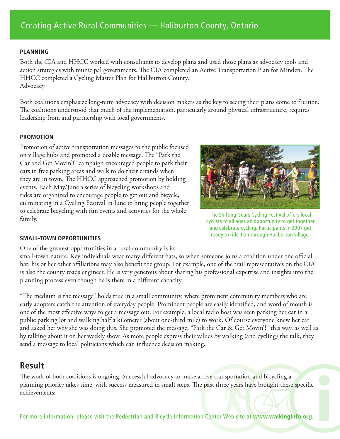#### **Planning**

Both the CIA and HHCC worked with consultants to develop plans and used those plans as advocacy tools and action strategies with municipal governments. The CIA completed an Active Transportation Plan for Minden. The HHCC completed a Cycling Master Plan for Haliburton County. Advocacy

Both coalitions emphasize long-term advocacy with decision makers as the key to seeing their plans come to fruition. The coalitions understood that much of the implementation, particularly around physical infrastructure, requires leadership from and partnership with local governments.

#### **Promotion**

Promotion of active transportation messages to the public focused on village hubs and promoted a doable message. The "Park the Car and Get Movin'!" campaign encouraged people to park their cars in free parking areas and walk to do their errands when they are in town. The HHCC approached promotion by holding events. Each May/June a series of bicycling workshops and rides are organized to encourage people to get out and bicycle, culminating in a Cycling Festival in June to bring people together to celebrate bicycling with fun events and activities for the whole family.



The Shifting Gears Cycling Festival offers local cyclists of all ages an opportunity to get together and celebrate cycling. Participants in 2007 get ready to ride 1km through Haliburton village.

#### **Small-town opportunities**

One of the greatest opportunities in a rural community is its

small-town nature. Key individuals wear many different hats, so when someone joins a coalition under one official hat, his or her other affiliations may also benefit the group. For example, one of the trail representatives on the CIA is also the county roads engineer. He is very generous about sharing his professional expertise and insights into the planning process even though he is there in a different capacity.

"The medium is the message" holds true in a small community, where prominent community members who are early adopters catch the attention of everyday people. Prominent people are easily identified, and word of mouth is one of the most effective ways to get a message out. For example, a local radio host was seen parking her car in a public parking lot and walking half a kilometer (about one-third mile) to work. Of course everyone knew her car and asked her why she was doing this. She promoted the message, "Park the Car & Get Movin'!" this way, as well as by talking about it on her weekly show. As more people express their values by walking (and cycling) the talk, they send a message to local politicians which can influence decision making.

### **Result**

The work of both coalitions is ongoing. Successful advocacy to make active transportation and bicycling a planning priority takes time, with success measured in small steps. The past three years have brought these specific achievements:

For more information, please visit the Pedestrian and Bicycle Information Center Web site at **www.walkinginfo.org**.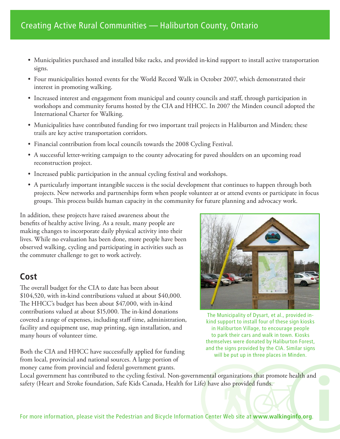- Municipalities purchased and installed bike racks, and provided in-kind support to install active transportation signs.
- Four municipalities hosted events for the World Record Walk in October 2007, which demonstrated their interest in promoting walking.
- Increased interest and engagement from municipal and county councils and staff, through participation in workshops and community forums hosted by the CIA and HHCC. In 2007 the Minden council adopted the International Charter for Walking.
- Municipalities have contributed funding for two important trail projects in Haliburton and Minden; these trails are key active transportation corridors.
- Financial contribution from local councils towards the 2008 Cycling Festival.
- A successful letter-writing campaign to the county advocating for paved shoulders on an upcoming road reconstruction project.
- Increased public participation in the annual cycling festival and workshops.
- A particularly important intangible success is the social development that continues to happen through both projects. New networks and partnerships form when people volunteer at or attend events or participate in focus groups. This process builds human capacity in the community for future planning and advocacy work.

In addition, these projects have raised awareness about the benefits of healthy active living. As a result, many people are making changes to incorporate daily physical activity into their lives. While no evaluation has been done, more people have been observed walking, cycling and participating in activities such as the commuter challenge to get to work actively.

### **Cost**

The overall budget for the CIA to date has been about \$104,520, with in-kind contributions valued at about \$40,000. The HHCC's budget has been about \$47,000, with in-kind contributions valued at about \$15,000. The in-kind donations covered a range of expenses, including staff time, administration, facility and equipment use, map printing, sign installation, and many hours of volunteer time.

Both the CIA and HHCC have successfully applied for funding from local, provincial and national sources. A large portion of money came from provincial and federal government grants.



The Municipality of Dysart, et al., provided inkind support to install four of these sign kiosks in Haliburton Village, to encourage people to park their cars and walk in town. Kiosks themselves were donated by Haliburton Forest, and the signs provided by the CIA. Similar signs will be put up in three places in Minden.

Local government has contributed to the cycling festival. Non-governmental organizations that promote health and safety (Heart and Stroke foundation, Safe Kids Canada, Health for Life) have also provided funds.